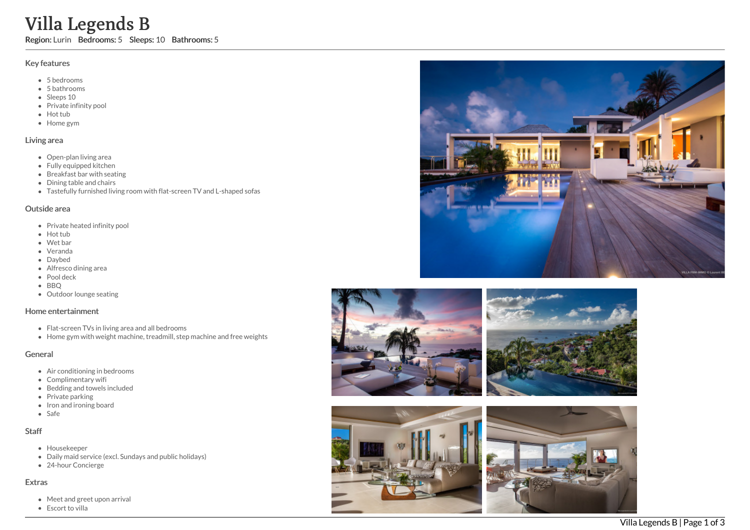# Villa Legends B

Region: Lurin Bedrooms: 5 Sleeps: 10 Bathrooms: 5

#### Key features

- 5 b e d r o o m s
- 5 b a t h r o o m s
- Sleeps 10
- Private infinity pool
- Hot tub
- Home gym

## Living area

- Open-plan living area
- Fully equipped kitchen
- Breakfast bar with seating
- Dining table and chairs
- Tastefully furnished living room with flat-screen TV and L-shaped sofas

#### Outside area

- Private heated infinity pool
- Hot tub
- Wet bar
- Veranda
- Daybed
- Alfresco dining area
- Pool deck
- BBO
- Outdoor lounge seating

## Home entertainment

- Flat-screen TVs in living area and all bedrooms
- Home gym with weight machine, treadmill, step machine and free weights

#### General

- Air conditioning in bedrooms
- Complimentary wifi
- Bedding and towels included
- Private parking
- Iron and ironing board
- S a f e

## S t a f f

- Housekeeper
- Daily maid service (excl. Sundays and public holidays)
- 24-hour Concierge

#### **Extras**

- Meet and greet upon arrival
- Escort to villa









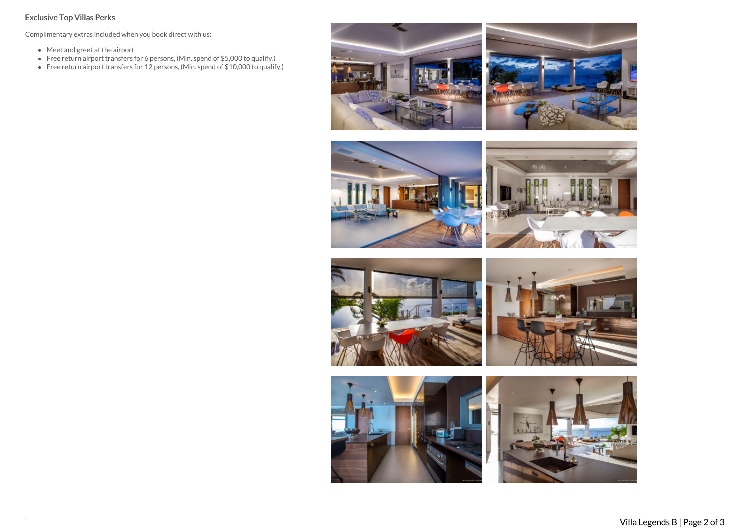# Exclusive Top Villas Perks

Complimentary extras included when you book direct with us:

- Meet and greet at the airport
- Free return airport transfers for 6 persons, (Min. spend of \$5,000 to qualify.)
- Free return airport transfers for 12 persons, (Min. spend of \$10,000 to qualify.)